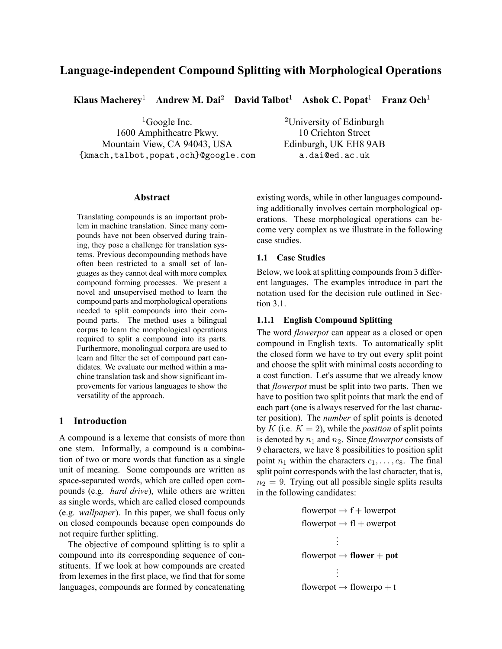# **Language-independent Compound Splitting with Morphological Operations**

**Klaus Macherey**<sup>1</sup> **Andrew M. Dai**<sup>2</sup> **David Talbot**<sup>1</sup> **Ashok C. Popat**<sup>1</sup> **Franz Och**<sup>1</sup>

 ${}^{1}$ Google Inc. 1600 Amphitheatre Pkwy. Mountain View, CA 94043, USA {kmach,talbot,popat,och}@google.com

<sup>2</sup>University of Edinburgh 10 Crichton Street Edinburgh, UK EH8 9AB a.dai@ed.ac.uk

# **Abstract**

Translating compounds is an important problem in machine translation. Since many compounds have not been observed during training, they pose a challenge for translation systems. Previous decompounding methods have often been restricted to a small set of languages as they cannot deal with more complex compound forming processes. We present a novel and unsupervised method to learn the compound parts and morphological operations needed to split compounds into their compound parts. The method uses a bilingual corpus to learn the morphological operations required to split a compound into its parts. Furthermore, monolingual corpora are used to learn and filter the set of compound part candidates. We evaluate our method within a machine translation task and show significant improvements for various languages to show the versatility of the approach.

# **1 Introduction**

A compound is a lexeme that consists of more than one stem. Informally, a compound is a combination of two or more words that function as a single unit of meaning. Some compounds are written as space-separated words, which are called open compounds (e.g. *hard drive*), while others are written as single words, which are called closed compounds (e.g. *wallpaper*). In this paper, we shall focus only on closed compounds because open compounds do not require further splitting.

The objective of compound splitting is to split a compound into its corresponding sequence of constituents. If we look at how compounds are created from lexemes in the first place, we find that for some languages, compounds are formed by concatenating existing words, while in other languages compounding additionally involves certain morphological operations. These morphological operations can become very complex as we illustrate in the following case studies.

### **1.1 Case Studies**

Below, we look at splitting compounds from 3 different languages. The examples introduce in part the notation used for the decision rule outlined in Section 3.1.

#### **1.1.1 English Compound Splitting**

The word *flowerpot* can appear as a closed or open compound in English texts. To automatically split the closed form we have to try out every split point and choose the split with minimal costs according to a cost function. Let's assume that we already know that *flowerpot* must be split into two parts. Then we have to position two split points that mark the end of each part (one is always reserved for the last character position). The *number* of split points is denoted by  $K$  (i.e.  $K = 2$ ), while the *position* of split points is denoted by  $n_1$  and  $n_2$ . Since *flowerpot* consists of 9 characters, we have 8 possibilities to position split point  $n_1$  within the characters  $c_1, \ldots, c_8$ . The final split point corresponds with the last character, that is,  $n_2 = 9$ . Trying out all possible single splits results in the following candidates:

flowerpot *→* f + lowerpot flowerpot *→* fl + owerpot . . . flowerpot *→* **flower** + **pot** . . . flowerpot *→* flowerpo + t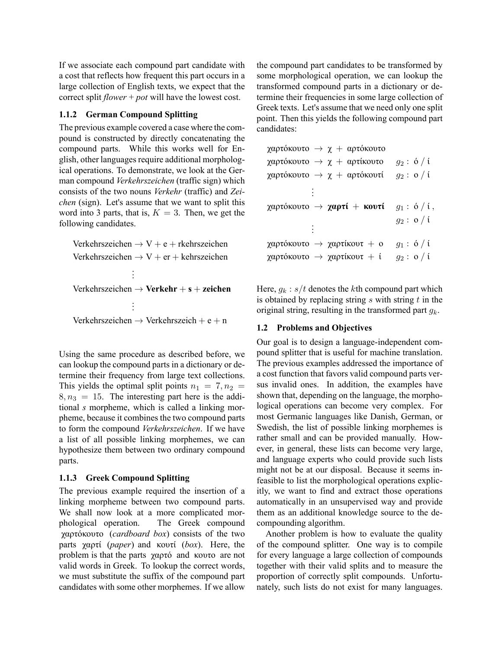If we associate each compound part candidate with a cost that reflects how frequent this part occurs in a large collection of English texts, we expect that the correct split *flower* + *pot* will have the lowest cost.

# **1.1.2 German Compound Splitting**

The previous example covered a case where the compound is constructed by directly concatenating the compound parts. While this works well for English, other languages require additional morphological operations. To demonstrate, we look at the German compound *Verkehrszeichen* (traffic sign) which consists of the two nouns *Verkehr* (traffic) and *Zeichen* (sign). Let's assume that we want to split this word into 3 parts, that is,  $K = 3$ . Then, we get the following candidates.

Verkehrszeichen *→* V + e + rkehrszeichen Verkehrszeichen *→* V + er + kehrszeichen . . . Verkehrszeichen *→* **Verkehr** + **s** + **zeichen** . . :<br>: Verkehrszeichen *→* Verkehrszeich + e + n

Using the same procedure as described before, we can lookup the compound parts in a dictionary or determine their frequency from large text collections. This yields the optimal split points  $n_1 = 7, n_2 =$  $8, n_3 = 15$ . The interesting part here is the additional *s* morpheme, which is called a linking morpheme, because it combines the two compound parts to form the compound *Verkehrszeichen*. If we have a list of all possible linking morphemes, we can hypothesize them between two ordinary compound parts.

# **1.1.3 Greek Compound Splitting**

The previous example required the insertion of a linking morpheme between two compound parts. We shall now look at a more complicated morphological operation. The Greek compound χαρτόκουτο (*cardboard box*) consists of the two parts χαρτί (*paper*) and κουτί (*box*). Here, the problem is that the parts χαρτό and κουτο are not valid words in Greek. To lookup the correct words, we must substitute the suffix of the compound part candidates with some other morphemes. If we allow

the compound part candidates to be transformed by some morphological operation, we can lookup the transformed compound parts in a dictionary or determine their frequencies in some large collection of Greek texts. Let's assume that we need only one split point. Then this yields the following compound part candidates:

```
χαρτόκουτο → χ + αρτόκουτο
χαρτόκουτο → χ + αρτίκουτο g2 : ό / ί
χαρτόκουτο → χ + αρτόκουτί g2 : ο / ί
           .
           .
           .
χαρτόκουτο → χαρτί + κουτί g1 : ό / ί ,
                              g2 : ο / ί
           .
           .
           .
χαρτόκουτο → χαρτίκουτ + ο g1 : ό / ί
χαρτόκουτο → χαρτίκουτ + ί g2 : ο / ί
```
Here,  $q_k : s/t$  denotes the *k*th compound part which is obtained by replacing string *s* with string *t* in the original string, resulting in the transformed part *gk*.

# **1.2 Problems and Objectives**

Our goal is to design a language-independent compound splitter that is useful for machine translation. The previous examples addressed the importance of a cost function that favors valid compound parts versus invalid ones. In addition, the examples have shown that, depending on the language, the morphological operations can become very complex. For most Germanic languages like Danish, German, or Swedish, the list of possible linking morphemes is rather small and can be provided manually. However, in general, these lists can become very large, and language experts who could provide such lists might not be at our disposal. Because it seems infeasible to list the morphological operations explicitly, we want to find and extract those operations automatically in an unsupervised way and provide them as an additional knowledge source to the decompounding algorithm.

Another problem is how to evaluate the quality of the compound splitter. One way is to compile for every language a large collection of compounds together with their valid splits and to measure the proportion of correctly split compounds. Unfortunately, such lists do not exist for many languages.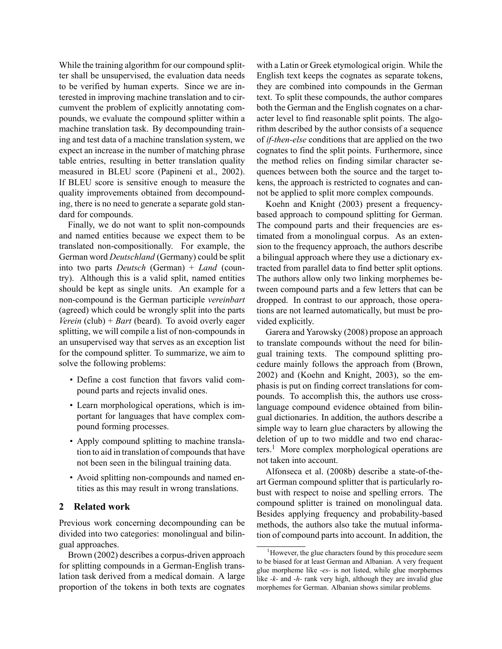While the training algorithm for our compound splitter shall be unsupervised, the evaluation data needs to be verified by human experts. Since we are interested in improving machine translation and to circumvent the problem of explicitly annotating compounds, we evaluate the compound splitter within a machine translation task. By decompounding training and test data of a machine translation system, we expect an increase in the number of matching phrase table entries, resulting in better translation quality measured in BLEU score (Papineni et al., 2002). If BLEU score is sensitive enough to measure the quality improvements obtained from decompounding, there is no need to generate a separate gold standard for compounds.

Finally, we do not want to split non-compounds and named entities because we expect them to be translated non-compositionally. For example, the German word *Deutschland* (Germany) could be split into two parts *Deutsch* (German) + *Land* (country). Although this is a valid split, named entities should be kept as single units. An example for a non-compound is the German participle *vereinbart* (agreed) which could be wrongly split into the parts *Verein* (club) + *Bart* (beard). To avoid overly eager splitting, we will compile a list of non-compounds in an unsupervised way that serves as an exception list for the compound splitter. To summarize, we aim to solve the following problems:

- Define a cost function that favors valid compound parts and rejects invalid ones.
- Learn morphological operations, which is important for languages that have complex compound forming processes.
- Apply compound splitting to machine translation to aid in translation of compounds that have not been seen in the bilingual training data.
- Avoid splitting non-compounds and named entities as this may result in wrong translations.

## **2 Related work**

Previous work concerning decompounding can be divided into two categories: monolingual and bilingual approaches.

Brown (2002) describes a corpus-driven approach for splitting compounds in a German-English translation task derived from a medical domain. A large proportion of the tokens in both texts are cognates

with a Latin or Greek etymological origin. While the English text keeps the cognates as separate tokens, they are combined into compounds in the German text. To split these compounds, the author compares both the German and the English cognates on a character level to find reasonable split points. The algorithm described by the author consists of a sequence of *if-then-else* conditions that are applied on the two cognates to find the split points. Furthermore, since the method relies on finding similar character sequences between both the source and the target tokens, the approach is restricted to cognates and cannot be applied to split more complex compounds.

Koehn and Knight (2003) present a frequencybased approach to compound splitting for German. The compound parts and their frequencies are estimated from a monolingual corpus. As an extension to the frequency approach, the authors describe a bilingual approach where they use a dictionary extracted from parallel data to find better split options. The authors allow only two linking morphemes between compound parts and a few letters that can be dropped. In contrast to our approach, those operations are not learned automatically, but must be provided explicitly.

Garera and Yarowsky (2008) propose an approach to translate compounds without the need for bilingual training texts. The compound splitting procedure mainly follows the approach from (Brown, 2002) and (Koehn and Knight, 2003), so the emphasis is put on finding correct translations for compounds. To accomplish this, the authors use crosslanguage compound evidence obtained from bilingual dictionaries. In addition, the authors describe a simple way to learn glue characters by allowing the deletion of up to two middle and two end characters.<sup>1</sup> More complex morphological operations are not taken into account.

Alfonseca et al. (2008b) describe a state-of-theart German compound splitter that is particularly robust with respect to noise and spelling errors. The compound splitter is trained on monolingual data. Besides applying frequency and probability-based methods, the authors also take the mutual information of compound parts into account. In addition, the

 $<sup>1</sup>$  However, the glue characters found by this procedure seem</sup> to be biased for at least German and Albanian. A very frequent glue morpheme like *-es-* is not listed, while glue morphemes like *-k-* and *-h-* rank very high, although they are invalid glue morphemes for German. Albanian shows similar problems.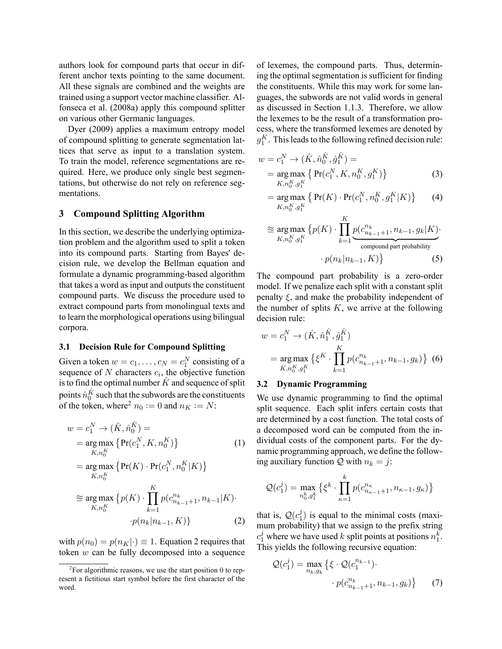authors look for compound parts that occur in different anchor texts pointing to the same document. All these signals are combined and the weights are trained using a support vector machine classifier. Alfonseca et al. (2008a) apply this compound splitter on various other Germanic languages.

Dyer (2009) applies a maximum entropy model of compound splitting to generate segmentation lattices that serve as input to a translation system. To train the model, reference segmentations are required. Here, we produce only single best segmentations, but otherwise do not rely on reference segmentations.

#### **3 Compound Splitting Algorithm**

In this section, we describe the underlying optimization problem and the algorithm used to split a token into its compound parts. Starting from Bayes' decision rule, we develop the Bellman equation and formulate a dynamic programming-based algorithm that takes a word as input and outputs the constituent compound parts. We discuss the procedure used to extract compound parts from monolingual texts and to learn the morphological operations using bilingual corpora.

## **3.1 Decision Rule for Compound Splitting**

Given a token  $w = c_1, \dots, c_N = c_1^N$  consisting of a sequence of  $N$  characters  $c_i$ , the objective function is to find the optimal number  $\hat{K}$  and sequence of split points  $\hat{n}_0^{\hat{K}}$  such that the subwords are the constituents of the token, where<sup>2</sup>  $n_0 := 0$  and  $n_K := N$ :

$$
w = c_1^N \rightarrow (\hat{K}, \hat{n}_0^{\hat{K}}) =
$$
  
\n
$$
= \underset{K, n_0^K}{\arg \max} \{ \Pr(c_1^N, K, n_0^K) \} \tag{1}
$$
  
\n
$$
= \underset{K, n_0^K}{\arg \max} \{ \Pr(K) \cdot \Pr(c_1^N, n_0^K | K) \}
$$
  
\n
$$
\approx \underset{K, n_0^K}{\arg \max} \{ n(K) \cdot \prod_{i=1}^K n(c_i^{n_k} | m_i \cdot | K) \}.
$$

$$
\approx \underset{K, n_0^K}{\arg \max} \left\{ p(K) \cdot \prod_{k=1} p(c_{n_{k-1}+1}^{n_k}, n_{k-1}|K) \cdot \right. \\
 \left. \cdot p(n_k|n_{k-1}, K) \right\} \tag{2}
$$

with  $p(n_0) = p(n_K | \cdot) \equiv 1$ . Equation 2 requires that token *w* can be fully decomposed into a sequence

of lexemes, the compound parts. Thus, determining the optimal segmentation is sufficient for finding the constituents. While this may work for some languages, the subwords are not valid words in general as discussed in Section 1.1.3. Therefore, we allow the lexemes to be the result of a transformation process, where the transformed lexemes are denoted by  $g_1^K$ . This leads to the following refined decision rule:

$$
w = c_1^N \to (\hat{K}, \hat{n}_0^{\hat{K}}, \hat{g}_1^{\hat{K}}) =
$$
  
= arg max { Pr( $c_1^N, K, n_0^K, g_1^K$ )}  
 $K, n_0^K, g_1^K$  (3)

$$
= \underset{K, n_0^K, g_1^K}{\arg \max} \left\{ \Pr(K) \cdot \Pr(c_1^N, n_0^K, g_1^K | K) \right\} \tag{4}
$$

$$
\approx \underset{K, n_0^K, g_1^K}{\arg \max} \left\{ p(K) \cdot \prod_{k=1}^K \underbrace{p(c_{n_{k-1}+1}^{n_k}, n_{k-1}, g_k|K)}_{\text{compound part probability}} \right\}.
$$
\n
$$
\cdot p(n_k|n_{k-1}, K) \}
$$
\n(5)

The compound part probability is a zero-order model. If we penalize each split with a constant split penalty *ξ*, and make the probability independent of the number of splits  $K$ , we arrive at the following decision rule:

$$
w = c_1^N \to (\hat{K}, \hat{n}_1^{\hat{K}}, \hat{g}_1^{\hat{K}})
$$
  
= 
$$
\underset{K, n_0^K, g_1^K}{\arg \max} \{ \xi^K \cdot \prod_{k=1}^K p(c_{n_{k-1}+1}^{n_k}, n_{k-1}, g_k) \} (6)
$$

#### **3.2 Dynamic Programming**

We use dynamic programming to find the optimal split sequence. Each split infers certain costs that are determined by a cost function. The total costs of a decomposed word can be computed from the individual costs of the component parts. For the dynamic programming approach, we define the following auxiliary function  $Q$  with  $n_k = j$ :

$$
\mathcal{Q}(c_1^j) = \max_{n_0^k, g_1^k} \left\{ \xi^k \cdot \prod_{\kappa=1}^k p(c_{n_{\kappa-1}+1}^{n_{\kappa}}, n_{\kappa-1}, g_{\kappa}) \right\}
$$

that is,  $\mathcal{Q}(c_1^j)$  $\binom{1}{1}$  is equal to the minimal costs (maximum probability) that we assign to the prefix string  $c_1^j$  where we have used *k* split points at positions  $n_1^k$ . This yields the following recursive equation:

$$
Q(c_1^j) = \max_{n_k, g_k} \left\{ \xi \cdot Q(c_1^{n_{k-1}}) \cdot \cdot p(c_{n_{k-1}+1}^{n_k}, n_{k-1}, g_k) \right\}
$$
 (7)

 ${}^{2}$ For algorithmic reasons, we use the start position 0 to represent a fictitious start symbol before the first character of the word.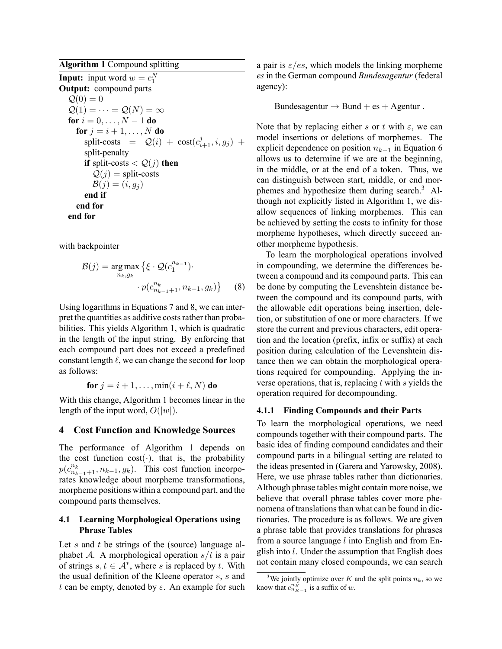**Algorithm 1** Compound splitting **Input:** input word  $w = c_1^N$ **Output:** compound parts  $\mathcal{Q}(0) = 0$  $Q(1) = \cdots = Q(N) = \infty$ **for**  $i = 0, ..., N - 1$  **do for**  $j = i + 1, ..., N$  **do**  $split\text{-}costs = \mathcal{Q}(i) + \text{cost}(c_{i+1}^j, i, g_j) +$ split-penalty **if** split-costs  $Q(j)$  **then**  $Q(j)$  = split-costs  $B(j) = (i, g_j)$ **end if end for end for**

with backpointer

$$
\mathcal{B}(j) = \underset{n_k, g_k}{\arg \max} \left\{ \xi \cdot \mathcal{Q}(c_1^{n_{k-1}}) \cdot \right. \\ \left. \cdot p(c_{n_{k-1}+1}^{n_{k}}, n_{k-1}, g_k) \right\} \tag{8}
$$

Using logarithms in Equations 7 and 8, we can interpret the quantities as additive costs rather than probabilities. This yields Algorithm 1, which is quadratic in the length of the input string. By enforcing that each compound part does not exceed a predefined constant length  $\ell$ , we can change the second **for** loop as follows:

$$
for j = i + 1, ..., min(i + \ell, N) do
$$

With this change, Algorithm 1 becomes linear in the length of the input word,  $O(|w|)$ .

### **4 Cost Function and Knowledge Sources**

The performance of Algorithm 1 depends on the cost function cost( $\cdot$ ), that is, the probability  $p(c_{n_{k-1}+1}^{n_k}, n_{k-1}, g_k)$ . This cost function incorpo-<br>rates knowledge about morpheme transformations, morpheme positions within a compound part, and the compound parts themselves.

# **4.1 Learning Morphological Operations using Phrase Tables**

Let *s* and *t* be strings of the (source) language alphabet *A*. A morphological operation *s*/*t* is a pair of strings  $s, t \in A^*$ , where *s* is replaced by *t*. With the usual definition of the Kleene operator *∗*, *s* and *t* can be empty, denoted by *ε*. An example for such a pair is *ε*/*es*, which models the linking morpheme *es* in the German compound *Bundesagentur* (federal agency):

Bundesagentur  $\rightarrow$  Bund + es + Agentur .

Note that by replacing either *s* or *t* with  $\varepsilon$ , we can model insertions or deletions of morphemes. The explicit dependence on position *nk−*<sup>1</sup> in Equation 6 allows us to determine if we are at the beginning, in the middle, or at the end of a token. Thus, we can distinguish between start, middle, or end morphemes and hypothesize them during search.<sup>3</sup> Although not explicitly listed in Algorithm 1, we disallow sequences of linking morphemes. This can be achieved by setting the costs to infinity for those morpheme hypotheses, which directly succeed another morpheme hypothesis.

To learn the morphological operations involved in compounding, we determine the differences between a compound and its compound parts. This can be done by computing the Levenshtein distance between the compound and its compound parts, with the allowable edit operations being insertion, deletion, or substitution of one or more characters. If we store the current and previous characters, edit operation and the location (prefix, infix or suffix) at each position during calculation of the Levenshtein distance then we can obtain the morphological operations required for compounding. Applying the inverse operations, that is, replacing *t* with *s* yields the operation required for decompounding.

### **4.1.1 Finding Compounds and their Parts**

To learn the morphological operations, we need compounds together with their compound parts. The basic idea of finding compound candidates and their compound parts in a bilingual setting are related to the ideas presented in (Garera and Yarowsky, 2008). Here, we use phrase tables rather than dictionaries. Although phrase tables might contain more noise, we believe that overall phrase tables cover more phenomena of translations than what can be found in dictionaries. The procedure is as follows. We are given a phrase table that provides translations for phrases from a source language *l* into English and from English into *l*. Under the assumption that English does not contain many closed compounds, we can search

<sup>&</sup>lt;sup>3</sup>We jointly optimize over *K* and the split points  $n_k$ , so we know that  $c_{n_{K-1}}^{n_{K}}$  is a suffix of *w*.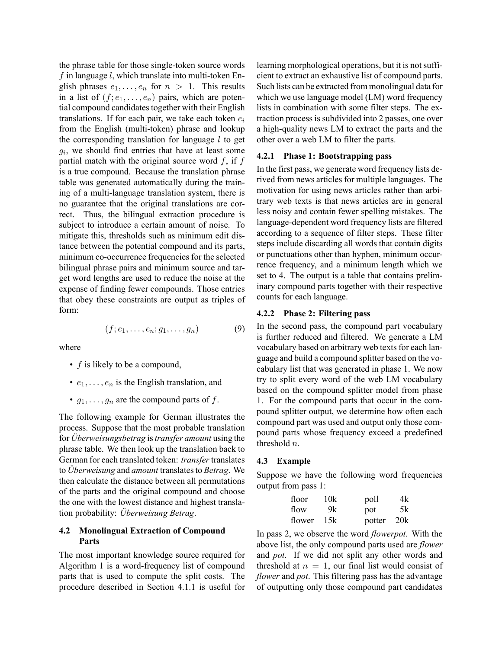the phrase table for those single-token source words *f* in language *l*, which translate into multi-token English phrases  $e_1, \ldots, e_n$  for  $n > 1$ . This results in a list of  $(f; e_1, \ldots, e_n)$  pairs, which are potential compound candidates together with their English translations. If for each pair, we take each token *e<sup>i</sup>* from the English (multi-token) phrase and lookup the corresponding translation for language *l* to get *gi* , we should find entries that have at least some partial match with the original source word *f*, if *f* is a true compound. Because the translation phrase table was generated automatically during the training of a multi-language translation system, there is no guarantee that the original translations are correct. Thus, the bilingual extraction procedure is subject to introduce a certain amount of noise. To mitigate this, thresholds such as minimum edit distance between the potential compound and its parts, minimum co-occurrence frequencies for the selected bilingual phrase pairs and minimum source and target word lengths are used to reduce the noise at the expense of finding fewer compounds. Those entries that obey these constraints are output as triples of form:

$$
(f; e_1, \ldots, e_n; g_1, \ldots, g_n) \tag{9}
$$

where

- *f* is likely to be a compound,
- $\cdot$   $e_1, \ldots, e_n$  is the English translation, and
- $g_1, \ldots, g_n$  are the compound parts of  $f$ .

The following example for German illustrates the process. Suppose that the most probable translation for *Überweisungsbetrag* is*transfer amount* using the phrase table. We then look up the translation back to German for each translated token: *transfer* translates to *Überweisung* and *amount* translates to *Betrag*. We then calculate the distance between all permutations of the parts and the original compound and choose the one with the lowest distance and highest translation probability: *Überweisung Betrag*.

# **4.2 Monolingual Extraction of Compound Parts**

The most important knowledge source required for Algorithm 1 is a word-frequency list of compound parts that is used to compute the split costs. The procedure described in Section 4.1.1 is useful for

learning morphological operations, but it is not sufficient to extract an exhaustive list of compound parts. Such lists can be extracted from monolingual data for which we use language model (LM) word frequency lists in combination with some filter steps. The extraction process is subdivided into 2 passes, one over a high-quality news LM to extract the parts and the other over a web LM to filter the parts.

#### **4.2.1 Phase 1: Bootstrapping pass**

In the first pass, we generate word frequency lists derived from news articles for multiple languages. The motivation for using news articles rather than arbitrary web texts is that news articles are in general less noisy and contain fewer spelling mistakes. The language-dependent word frequency lists are filtered according to a sequence of filter steps. These filter steps include discarding all words that contain digits or punctuations other than hyphen, minimum occurrence frequency, and a minimum length which we set to 4. The output is a table that contains preliminary compound parts together with their respective counts for each language.

#### **4.2.2 Phase 2: Filtering pass**

In the second pass, the compound part vocabulary is further reduced and filtered. We generate a LM vocabulary based on arbitrary web texts for each language and build a compound splitter based on the vocabulary list that was generated in phase 1. We now try to split every word of the web LM vocabulary based on the compound splitter model from phase 1. For the compound parts that occur in the compound splitter output, we determine how often each compound part was used and output only those compound parts whose frequency exceed a predefined threshold *n*.

# **4.3 Example**

Suppose we have the following word frequencies output from pass 1:

| floor  | 10k | poll   | 4k  |
|--------|-----|--------|-----|
| flow   | 9k. | pot    | 5k  |
| flower | 15k | potter | 20k |

In pass 2, we observe the word *flowerpot*. With the above list, the only compound parts used are *flower* and *pot*. If we did not split any other words and threshold at  $n = 1$ , our final list would consist of *flower* and *pot*. This filtering pass has the advantage of outputting only those compound part candidates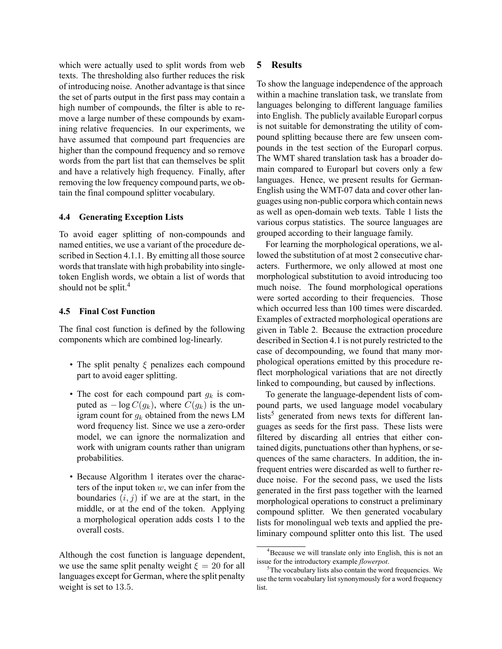which were actually used to split words from web texts. The thresholding also further reduces the risk of introducing noise. Another advantage is that since the set of parts output in the first pass may contain a high number of compounds, the filter is able to remove a large number of these compounds by examining relative frequencies. In our experiments, we have assumed that compound part frequencies are higher than the compound frequency and so remove words from the part list that can themselves be split and have a relatively high frequency. Finally, after removing the low frequency compound parts, we obtain the final compound splitter vocabulary.

# **4.4 Generating Exception Lists**

To avoid eager splitting of non-compounds and named entities, we use a variant of the procedure described in Section 4.1.1. By emitting all those source words that translate with high probability into singletoken English words, we obtain a list of words that should not be split.<sup>4</sup>

### **4.5 Final Cost Function**

The final cost function is defined by the following components which are combined log-linearly.

- The split penalty *ξ* penalizes each compound part to avoid eager splitting.
- The cost for each compound part *g<sup>k</sup>* is computed as  $-\log C(g_k)$ , where  $C(g_k)$  is the unigram count for *g<sup>k</sup>* obtained from the news LM word frequency list. Since we use a zero-order model, we can ignore the normalization and work with unigram counts rather than unigram probabilities.
- Because Algorithm 1 iterates over the characters of the input token *w*, we can infer from the boundaries  $(i, j)$  if we are at the start, in the middle, or at the end of the token. Applying a morphological operation adds costs 1 to the overall costs.

Although the cost function is language dependent, we use the same split penalty weight  $\xi = 20$  for all languages except for German, where the split penalty weight is set to 13*.*5.

# **5 Results**

To show the language independence of the approach within a machine translation task, we translate from languages belonging to different language families into English. The publicly available Europarl corpus is not suitable for demonstrating the utility of compound splitting because there are few unseen compounds in the test section of the Europarl corpus. The WMT shared translation task has a broader domain compared to Europarl but covers only a few languages. Hence, we present results for German-English using the WMT-07 data and cover other languages using non-public corpora which contain news as well as open-domain web texts. Table 1 lists the various corpus statistics. The source languages are grouped according to their language family.

For learning the morphological operations, we allowed the substitution of at most 2 consecutive characters. Furthermore, we only allowed at most one morphological substitution to avoid introducing too much noise. The found morphological operations were sorted according to their frequencies. Those which occurred less than 100 times were discarded. Examples of extracted morphological operations are given in Table 2. Because the extraction procedure described in Section 4.1 is not purely restricted to the case of decompounding, we found that many morphological operations emitted by this procedure reflect morphological variations that are not directly linked to compounding, but caused by inflections.

To generate the language-dependent lists of compound parts, we used language model vocabulary lists<sup>5</sup> generated from news texts for different languages as seeds for the first pass. These lists were filtered by discarding all entries that either contained digits, punctuations other than hyphens, or sequences of the same characters. In addition, the infrequent entries were discarded as well to further reduce noise. For the second pass, we used the lists generated in the first pass together with the learned morphological operations to construct a preliminary compound splitter. We then generated vocabulary lists for monolingual web texts and applied the preliminary compound splitter onto this list. The used

<sup>&</sup>lt;sup>4</sup>Because we will translate only into English, this is not an issue for the introductory example *flowerpot*.

<sup>&</sup>lt;sup>5</sup>The vocabulary lists also contain the word frequencies. We use the term vocabulary list synonymously for a word frequency list.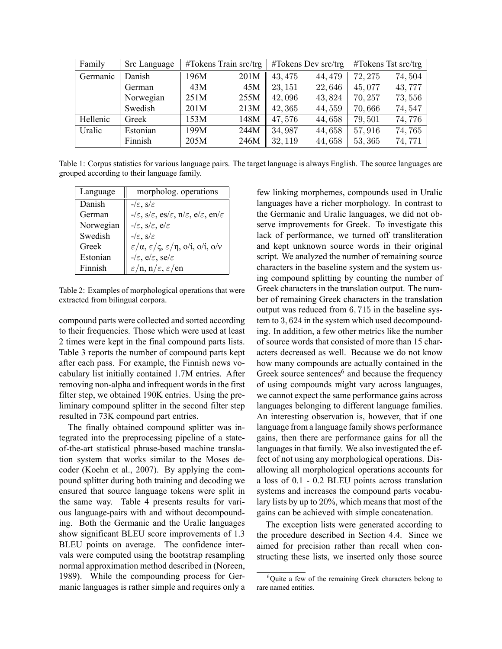| Family   | Src Language |      | $\#T$ okens Train src/trg |         | $\#T$ okens Dev src/trg |         | $\#T$ okens Tst src/trg |
|----------|--------------|------|---------------------------|---------|-------------------------|---------|-------------------------|
| Germanic | Danish       | 196M | 201M                      | 43, 475 | 44, 479                 | 72, 275 | 74,504                  |
|          | German       | 43M  | 45M                       | 23, 151 | 22,646                  | 45,077  | 43,777                  |
|          | Norwegian    | 251M | 255M                      | 42,096  | 43,824                  | 70, 257 | 73,556                  |
|          | Swedish      | 201M | 213M                      | 42, 365 | 44,559                  | 70,666  | 74,547                  |
| Hellenic | Greek        | 153M | 148M                      | 47,576  | 44,658                  | 79,501  | 74,776                  |
| Uralic   | Estonian     | 199M | 244M                      | 34,987  | 44,658                  | 57,916  | 74,765                  |
|          | Finnish      | 205M | 246M                      | 32, 119 | 44,658                  | 53, 365 | 74,771                  |

Table 1: Corpus statistics for various language pairs. The target language is always English. The source languages are grouped according to their language family.

| Language  | morpholog. operations                                                                                                |
|-----------|----------------------------------------------------------------------------------------------------------------------|
| Danish    | $-\mathcal{E}$ , $s/\varepsilon$                                                                                     |
| German    | $-\ell \varepsilon$ , s/ $\varepsilon$ , es/ $\varepsilon$ , n/ $\varepsilon$ , e/ $\varepsilon$ , en/ $\varepsilon$ |
| Norwegian | $-\ell \varepsilon$ , s/ $\varepsilon$ , e/ $\varepsilon$                                                            |
| Swedish   | $-\mathscr{E}, s\mathscr{E}$                                                                                         |
| Greek     | $\varepsilon/\alpha$ , $\varepsilon/\varsigma$ , $\varepsilon/\eta$ , o/i, o/i, o/v                                  |
| Estonian  | $-\ell \varepsilon$ , e $\ell \varepsilon$ , se $\ell \varepsilon$                                                   |
| Finnish   | $\varepsilon/n$ , n/ $\varepsilon, \varepsilon$ /en                                                                  |

Table 2: Examples of morphological operations that were extracted from bilingual corpora.

compound parts were collected and sorted according to their frequencies. Those which were used at least 2 times were kept in the final compound parts lists. Table 3 reports the number of compound parts kept after each pass. For example, the Finnish news vocabulary list initially contained 1.7M entries. After removing non-alpha and infrequent words in the first filter step, we obtained 190K entries. Using the preliminary compound splitter in the second filter step resulted in 73K compound part entries.

The finally obtained compound splitter was integrated into the preprocessing pipeline of a stateof-the-art statistical phrase-based machine translation system that works similar to the Moses decoder (Koehn et al., 2007). By applying the compound splitter during both training and decoding we ensured that source language tokens were split in the same way. Table 4 presents results for various language-pairs with and without decompounding. Both the Germanic and the Uralic languages show significant BLEU score improvements of 1.3 BLEU points on average. The confidence intervals were computed using the bootstrap resampling normal approximation method described in (Noreen, 1989). While the compounding process for Germanic languages is rather simple and requires only a few linking morphemes, compounds used in Uralic languages have a richer morphology. In contrast to the Germanic and Uralic languages, we did not observe improvements for Greek. To investigate this lack of performance, we turned off transliteration and kept unknown source words in their original script. We analyzed the number of remaining source characters in the baseline system and the system using compound splitting by counting the number of Greek characters in the translation output. The number of remaining Greek characters in the translation output was reduced from 6*,* 715 in the baseline system to 3*,* 624 in the system which used decompounding. In addition, a few other metrics like the number of source words that consisted of more than 15 characters decreased as well. Because we do not know how many compounds are actually contained in the Greek source sentences<sup>6</sup> and because the frequency of using compounds might vary across languages, we cannot expect the same performance gains across languages belonging to different language families. An interesting observation is, however, that if one language from a language family shows performance gains, then there are performance gains for all the languages in that family. We also investigated the effect of not using any morphological operations. Disallowing all morphological operations accounts for a loss of 0.1 - 0.2 BLEU points across translation systems and increases the compound parts vocabulary lists by up to 20%, which means that most of the gains can be achieved with simple concatenation.

The exception lists were generated according to the procedure described in Section 4.4. Since we aimed for precision rather than recall when constructing these lists, we inserted only those source

<sup>&</sup>lt;sup>6</sup>Quite a few of the remaining Greek characters belong to rare named entities.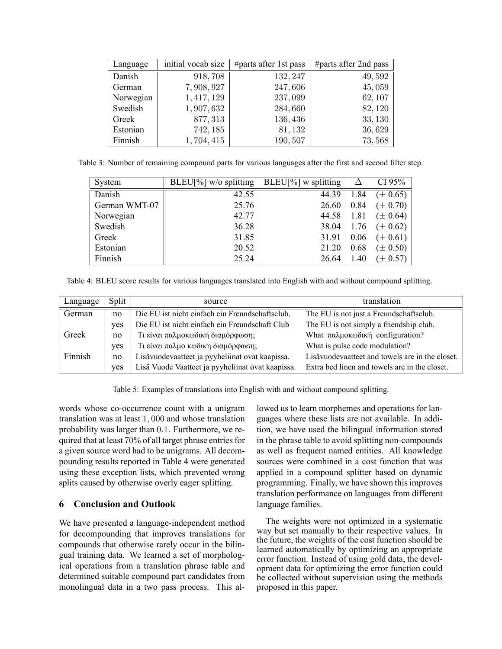| Language  | initial vocab size | #parts after 1st pass | #parts after 2nd pass |
|-----------|--------------------|-----------------------|-----------------------|
| Danish    | 918,708            | 132, 247              | 49,592                |
| German    | 7,908,927          | 247,606               | 45,059                |
| Norwegian | 1, 417, 129        | 237,099               | 62, 107               |
| Swedish   | 1,907,632          | 284,660               | 82, 120               |
| Greek     | 877, 313           | 136,436               | 33, 130               |
| Estonian  | 742, 185           | 81,132                | 36,629                |
| Finnish   | 1,704,415          | 190,507               | 73,568                |

Table 3: Number of remaining compound parts for various languages after the first and second filter step.

| System        | $BLEU[\%]$ w/o splitting | $ BLEU[\%]$ w splitting | Δ    | CI 95%       |
|---------------|--------------------------|-------------------------|------|--------------|
| Danish        | 42.55                    | 44.39                   | 1.84 | $(\pm 0.65)$ |
| German WMT-07 | 25.76                    | 26.60                   | 0.84 | $(\pm 0.70)$ |
| Norwegian     | 42.77                    | 44.58                   | 1.81 | $(\pm 0.64)$ |
| Swedish       | 36.28                    | 38.04                   | 1.76 | $(\pm 0.62)$ |
| Greek         | 31.85                    | 31.91                   | 0.06 | $(\pm 0.61)$ |
| Estonian      | 20.52                    | 21.20                   | 0.68 | $(\pm 0.50)$ |
| Finnish       | 25.24                    | 26.64                   | 1.40 | $(\pm 0.57)$ |

Table 4: BLEU score results for various languages translated into English with and without compound splitting.

| Language | Split | source                                            | translation                                     |  |  |
|----------|-------|---------------------------------------------------|-------------------------------------------------|--|--|
| German   | no    | Die EU ist nicht einfach ein Freundschaftsclub.   | The EU is not just a Freundschaftsclub.         |  |  |
|          | ves   | Die EU ist nicht einfach ein Freundschaft Club    | The EU is not simply a friendship club.         |  |  |
| Greek    | no    | Τι είναι παλμοκωδική διαμόρφωση;                  | What παλμοκωδική configuration?                 |  |  |
|          | yes   | Τι είναι παλμο κωδικη διαμόρφωση;                 | What is pulse code modulation?                  |  |  |
| Finnish  | no    | Lisävuodevaatteet ja pyyheliinat ovat kaapissa.   | Lisävuodevaatteet and towels are in the closet. |  |  |
|          | ves   | Lisä Vuode Vaatteet ja pyyheliinat ovat kaapissa. | Extra bed linen and towels are in the closet.   |  |  |

Table 5: Examples of translations into English with and without compound splitting.

words whose co-occurrence count with a unigram translation was at least 1*,* 000 and whose translation probability was larger than 0*.*1. Furthermore, we required that at least 70% of all target phrase entries for a given source word had to be unigrams. All decompounding results reported in Table 4 were generated using these exception lists, which prevented wrong splits caused by otherwise overly eager splitting.

# **6 Conclusion and Outlook**

We have presented a language-independent method for decompounding that improves translations for compounds that otherwise rarely occur in the bilingual training data. We learned a set of morphological operations from a translation phrase table and determined suitable compound part candidates from monolingual data in a two pass process. This allowed us to learn morphemes and operations for languages where these lists are not available. In addition, we have used the bilingual information stored in the phrase table to avoid splitting non-compounds as well as frequent named entities. All knowledge sources were combined in a cost function that was applied in a compound splitter based on dynamic programming. Finally, we have shown this improves translation performance on languages from different language families.

The weights were not optimized in a systematic way but set manually to their respective values. In the future, the weights of the cost function should be learned automatically by optimizing an appropriate error function. Instead of using gold data, the development data for optimizing the error function could be collected without supervision using the methods proposed in this paper.